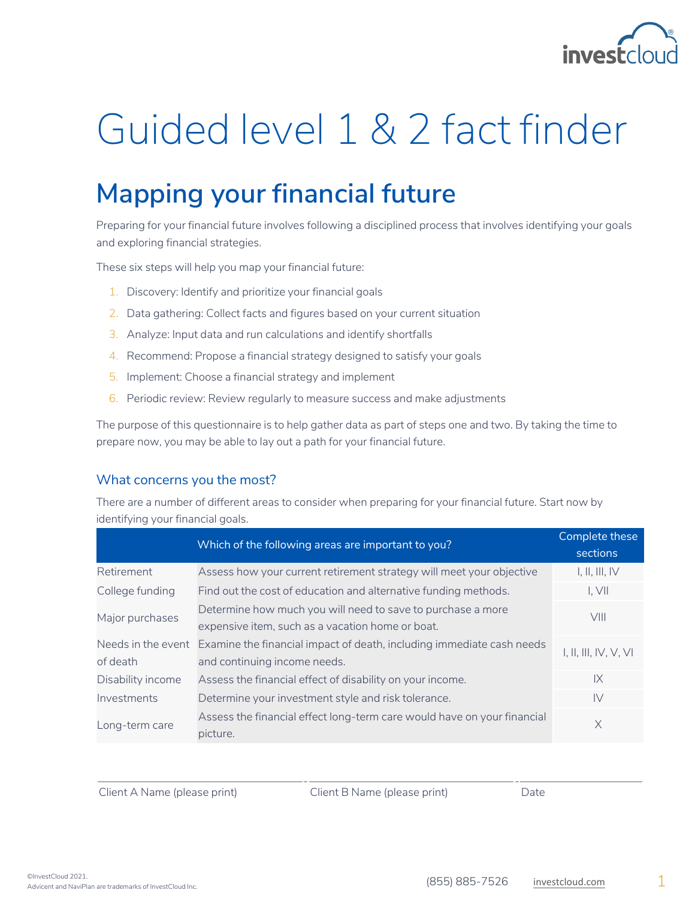

# Guided level 1 & 2 fact finder

# **Mapping your financial future**

Preparing for your financial future involves following a disciplined process that involves identifying your goals and exploring financial strategies.

These six steps will help you map your financial future:

- 1. Discovery: Identify and prioritize your financial goals
- 2. Data gathering: Collect facts and figures based on your current situation
- 3. Analyze: Input data and run calculations and identify shortfalls
- 4. Recommend: Propose a financial strategy designed to satisfy your goals
- 5. Implement: Choose a financial strategy and implement
- 6. Periodic review: Review regularly to measure success and make adjustments

The purpose of this questionnaire is to help gather data as part of steps one and two. By taking the time to prepare now, you may be able to lay out a path for your financial future.

### What concerns you the most?

There are a number of different areas to consider when preparing for your financial future. Start now by identifying your financial goals.

|                   | Which of the following areas are important to you?                                       | Complete these<br>sections |
|-------------------|------------------------------------------------------------------------------------------|----------------------------|
| Retirement        | Assess how your current retirement strategy will meet your objective                     | I, II, III, IV             |
| College funding   | Find out the cost of education and alternative funding methods.                          | I. VII                     |
| Major purchases   | Determine how much you will need to save to purchase a more                              | VIII                       |
|                   | expensive item, such as a vacation home or boat.                                         |                            |
|                   | Needs in the event Examine the financial impact of death, including immediate cash needs | I, II, III, IV, V, VI      |
| of death          | and continuing income needs.                                                             |                            |
| Disability income | Assess the financial effect of disability on your income.                                | $\mathsf{IX}$              |
| Investments       | Determine your investment style and risk tolerance.                                      | $\mathsf{IV}$              |
| Long-term care    | Assess the financial effect long-term care would have on your financial                  | $\times$                   |
|                   | picture.                                                                                 |                            |

Client A Name (please print) Client B Name (please print) Date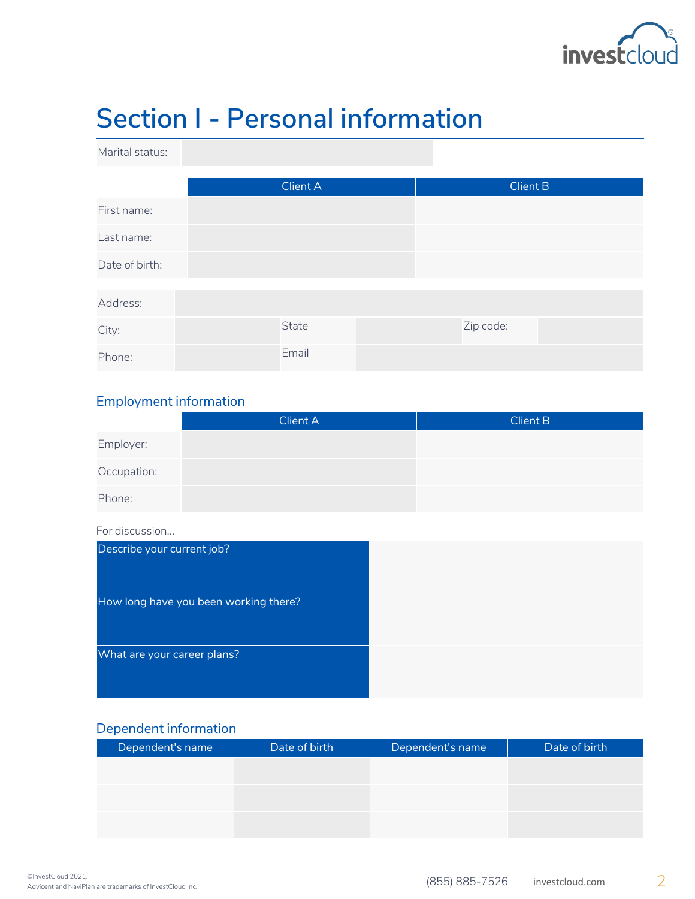

# **Section I - Personal information**

Marital status:

|                | Client A |  |  | Client B  |  |
|----------------|----------|--|--|-----------|--|
| First name:    |          |  |  |           |  |
| Last name:     |          |  |  |           |  |
| Date of birth: |          |  |  |           |  |
|                |          |  |  |           |  |
| Address:       |          |  |  |           |  |
| City:          | State    |  |  | Zip code: |  |
| Phone:         | Email    |  |  |           |  |

### Employment information

|             | <b>Client A</b> | <b>Client B</b> |
|-------------|-----------------|-----------------|
| Employer:   |                 |                 |
| Occupation: |                 |                 |
| Phone:      |                 |                 |

#### For discussion...

| Describe your current job?            |  |
|---------------------------------------|--|
| How long have you been working there? |  |
| What are your career plans?           |  |

### Dependent information

| Dependent's name | Date of birth | Dependent's name | Date of birth |
|------------------|---------------|------------------|---------------|
|                  |               |                  |               |
|                  |               |                  |               |
|                  |               |                  |               |
|                  |               |                  |               |
|                  |               |                  |               |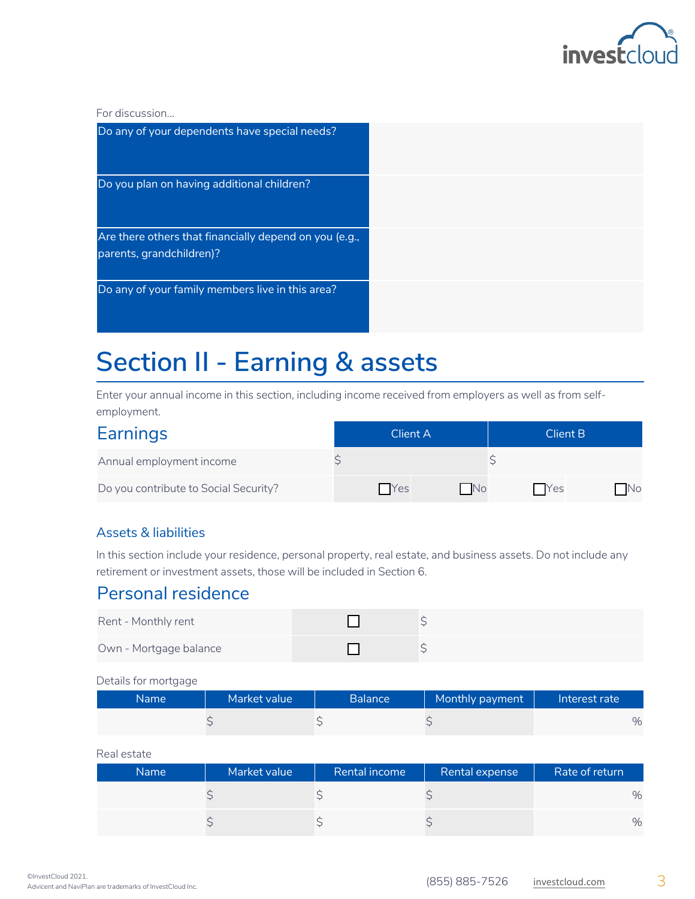

For discussion...

| Do any of your dependents have special needs?                                      |  |
|------------------------------------------------------------------------------------|--|
| Do you plan on having additional children?                                         |  |
| Are there others that financially depend on you (e.g.,<br>parents, grandchildren)? |  |
| Do any of your family members live in this area?                                   |  |

# **Section II - Earning & assets**

Enter your annual income in this section, including income received from employers as well as from selfemployment.

| Earnings                              | Client A    |           | Client B    |      |
|---------------------------------------|-------------|-----------|-------------|------|
| Annual employment income              |             |           |             |      |
| Do you contribute to Social Security? | <b>TYes</b> | <b>No</b> | <b>TYes</b> | - No |

### Assets & liabilities

In this section include your residence, personal property, real estate, and business assets. Do not include any retirement or investment assets, those will be included in Section 6.

### Personal residence

| Rent - Monthly rent    |  |
|------------------------|--|
| Own - Mortgage balance |  |

#### Details for mortgage

| Name I | Market value | <b>Balance</b> | Monthly payment | Interest rate |
|--------|--------------|----------------|-----------------|---------------|
|        |              |                |                 | %             |

#### Real estate

| Name : | Market value | Rental income | Rental expense | Rate of return |
|--------|--------------|---------------|----------------|----------------|
|        |              |               |                | $\%$           |
|        |              |               |                | $\%$           |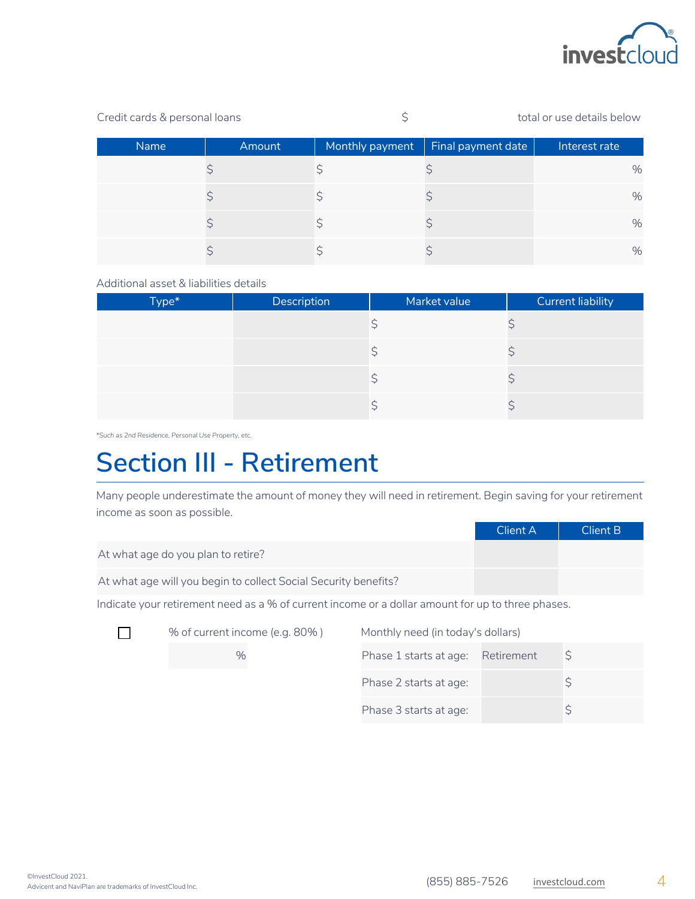

| Credit cards & personal loans |             |        |                 | total or use details below |               |
|-------------------------------|-------------|--------|-----------------|----------------------------|---------------|
|                               | <b>Name</b> | Amount | Monthly payment | Final payment date         | Interest rate |
|                               |             |        |                 |                            | $\%$          |
|                               |             |        |                 |                            | %             |
|                               |             |        |                 |                            | %             |
|                               |             |        |                 |                            | %             |

Additional asset & liabilities details

| Type* | Description | Market value | <b>Current liability</b> |
|-------|-------------|--------------|--------------------------|
|       |             |              |                          |
|       |             |              |                          |
|       |             |              |                          |
|       |             |              |                          |

*\*Such as 2nd Residence, Personal Use Property, etc.*

# **Section III - Retirement**

Many people underestimate the amount of money they will need in retirement. Begin saving for your retirement income as soon as possible.

|                                                                 | Client A | Client B |
|-----------------------------------------------------------------|----------|----------|
| At what age do you plan to retire?                              |          |          |
| At what age will you begin to collect Social Security benefits? |          |          |

Indicate your retirement need as a % of current income or a dollar amount for up to three phases.



% of current income (e.g. 80%) Monthly need (in today's dollars)

| $\%$ | Phase 1 starts at age: Retirement |  |
|------|-----------------------------------|--|
|      | Phase 2 starts at age:            |  |
|      | Phase 3 starts at age:            |  |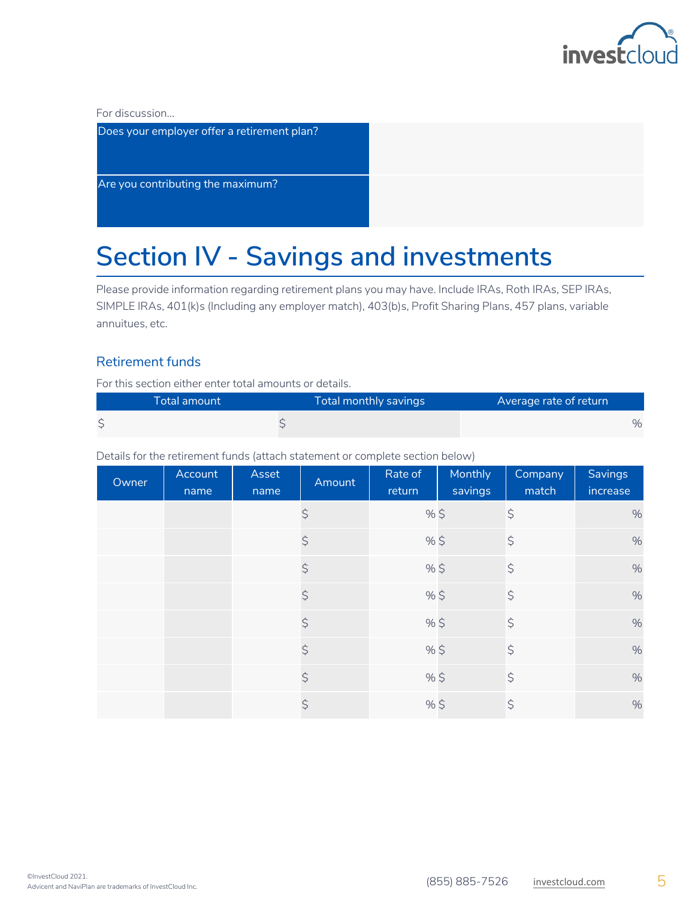

For discussion...

| Does your employer offer a retirement plan? |  |
|---------------------------------------------|--|
| Are you contributing the maximum?           |  |

# **Section IV - Savings and investments**

Please provide information regarding retirement plans you may have. Include IRAs, Roth IRAs, SEP IRAs, SIMPLE IRAs, 401(k)s (Including any employer match), 403(b)s, Profit Sharing Plans, 457 plans, variable annuitues, etc.

### Retirement funds

For this section either enter total amounts or details.

| ' Total amount | Total monthly savings | Average rate of return |
|----------------|-----------------------|------------------------|
|                |                       | $\%$                   |

Details for the retirement funds (attach statement or complete section below)

| Owner | Account<br>name | Asset<br>name | Amount      | Rate of<br>return | Monthly<br>savings | Company<br>match | Savings<br>increase |
|-------|-----------------|---------------|-------------|-------------------|--------------------|------------------|---------------------|
|       |                 |               | \$          | $%$ \$            |                    | $\varsigma$      | $\%$                |
|       |                 |               | $\varsigma$ | %\$               |                    | $\varsigma$      | $\%$                |
|       |                 |               | $\varsigma$ | %\$               |                    | $\varsigma$      | $\%$                |
|       |                 |               | $\varsigma$ | %\$               |                    | $\varsigma$      | $\%$                |
|       |                 |               | $\varsigma$ | $%$ \$            |                    | $\varsigma$      | $\%$                |
|       |                 |               | \$          | $%$ \$            |                    | $\varsigma$      | $\%$                |
|       |                 |               | \$          | $%$ \$            |                    | $\varsigma$      | $\%$                |
|       |                 |               | \$          | $%$ \$            |                    | \$               | $\%$                |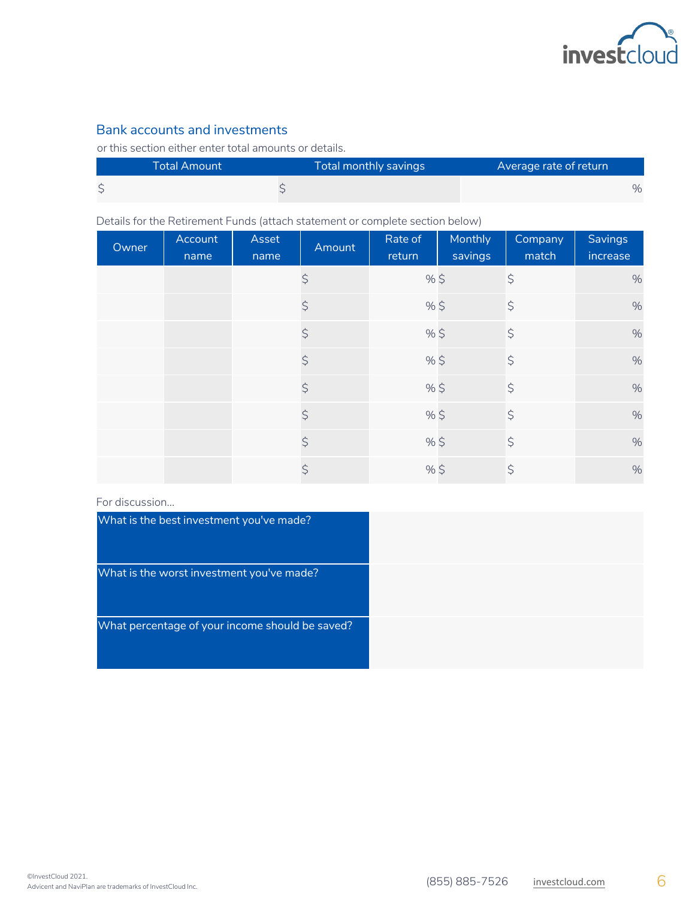

### Bank accounts and investments

or this section either enter total amounts or details.

| <b>Total Amount</b> | Total monthly savings | Average rate of return |      |
|---------------------|-----------------------|------------------------|------|
|                     |                       |                        | $\%$ |

Details for the Retirement Funds (attach statement or complete section below)

| Owner | Account<br>name | Asset<br>name | Amount      | Rate of<br>return | Monthly<br>savings | Company<br>match | <b>Savings</b><br>increase |
|-------|-----------------|---------------|-------------|-------------------|--------------------|------------------|----------------------------|
|       |                 |               | \$          | $%$ \$            |                    | $\varsigma$      | $\%$                       |
|       |                 |               | $\varsigma$ | %\$               |                    | $\varsigma$      | $\%$                       |
|       |                 |               | $\varsigma$ | %\$               |                    | $\varsigma$      | $\%$                       |
|       |                 |               | \$          | %\$               |                    | $\varsigma$      | $\%$                       |
|       |                 |               | \$          | %\$               |                    | $\varsigma$      | $\%$                       |
|       |                 |               | \$          | %\$               |                    | $\varsigma$      | $\%$                       |
|       |                 |               | \$          | $%$ \$            |                    | $\varsigma$      | $\%$                       |
|       |                 |               | \$          | $%$ \$            |                    | $\varsigma$      | $\frac{0}{0}$              |

#### For discussion...

| What is the best investment you've made?        |  |
|-------------------------------------------------|--|
| What is the worst investment you've made?       |  |
| What percentage of your income should be saved? |  |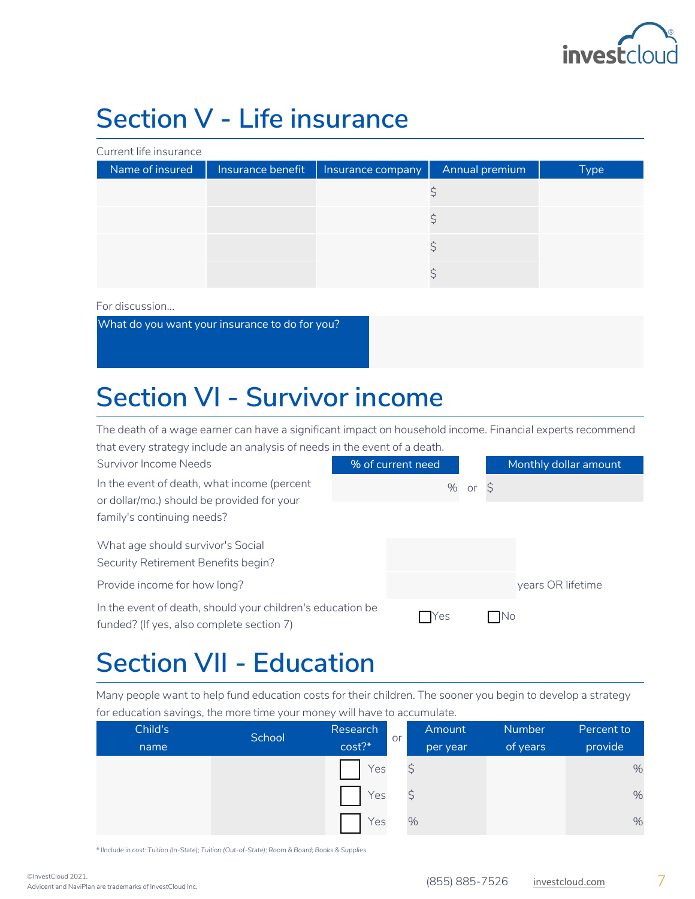

# **Section V - Life insurance**

Current life insurance

| Name of insured | Insurance benefit | Insurance company | Annual premium | <b>Type</b> |
|-----------------|-------------------|-------------------|----------------|-------------|
|                 |                   |                   |                |             |
|                 |                   |                   |                |             |
|                 |                   |                   |                |             |
|                 |                   |                   |                |             |

For discussion...

What do you want your insurance to do for you?

### **Section VI - Survivor income**

The death of a wage earner can have a significant impact on household income. Financial experts recommend that every strategy include an analysis of needs in the event of a death.

Survivor Income Needs In the event of death, what income (percent or dollar/mo.) should be provided for your family's continuing needs?

What age should survivor's Social Security Retirement Benefits begin?

Provide income for how long?

In the event of death, should your children's education funded? (If yes, also complete section 7)

|       | % of current need |              |    | Monthly dollar amount |
|-------|-------------------|--------------|----|-----------------------|
|       |                   | % or $\zeta$ |    |                       |
|       |                   |              |    |                       |
|       |                   |              |    |                       |
|       |                   |              |    |                       |
|       |                   |              |    | years OR lifetime     |
| on be | Yes               |              | No |                       |

### **Section VII - Education**

Many people want to help fund education costs for their children. The sooner you begin to develop a strategy for education savings, the more time your money will have to accumulate.

| Child's | School | Research | or | Amount   | <b>Number</b> | Percent to |
|---------|--------|----------|----|----------|---------------|------------|
| name    |        | cost?    |    | per year | of years      | provide    |
|         |        | Yes      |    |          |               | $\%$       |
|         |        | Yes      |    |          |               | $\%$       |
|         |        | Yes      |    | %        |               | $\%$       |

*\* IInclude in cost: Tuition (In-State); Tuition (Out-of-State); Room & Board; Books & Supplies*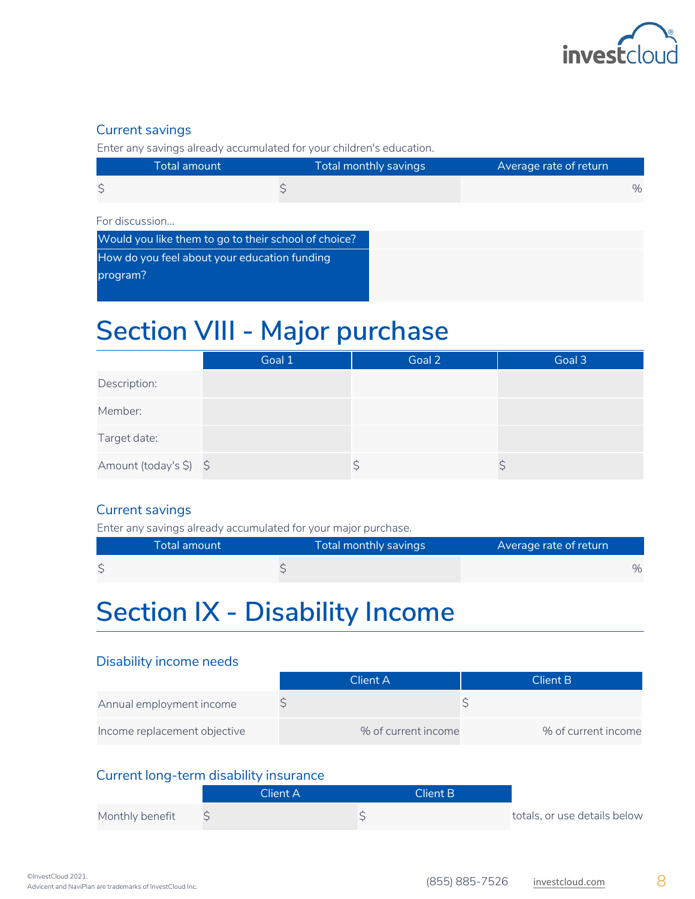

### Current savings

Enter any savings already accumulated for your children's education.

| Total amount | Total monthly savings | Average rate of return |
|--------------|-----------------------|------------------------|
|              |                       | $\%$                   |

#### For discussion...

| Would you like them to go to their school of choice? |
|------------------------------------------------------|
| How do you feel about your education funding         |
| program?                                             |
|                                                      |

### **Section VIII - Major purchase**

|                        | Goal 1 | Goal 2 | Goal 3 |
|------------------------|--------|--------|--------|
| Description:           |        |        |        |
| Member:                |        |        |        |
| Target date:           |        |        |        |
| Amount (today's \$) \$ |        |        |        |

### Current savings

Enter any savings already accumulated for your major purchase.

| Total amount | Total monthly savings | Average rate of return |
|--------------|-----------------------|------------------------|
|              |                       | $\%$                   |

### **Section IX - Disability Income**

### Disability income needs

|                              | Client A'           | Client B            |  |
|------------------------------|---------------------|---------------------|--|
| Annual employment income     |                     |                     |  |
| Income replacement objective | % of current income | % of current income |  |

### Current long-term disability insurance

|                 | Client A | Client B |                              |
|-----------------|----------|----------|------------------------------|
| Monthly benefit |          |          | totals, or use details below |